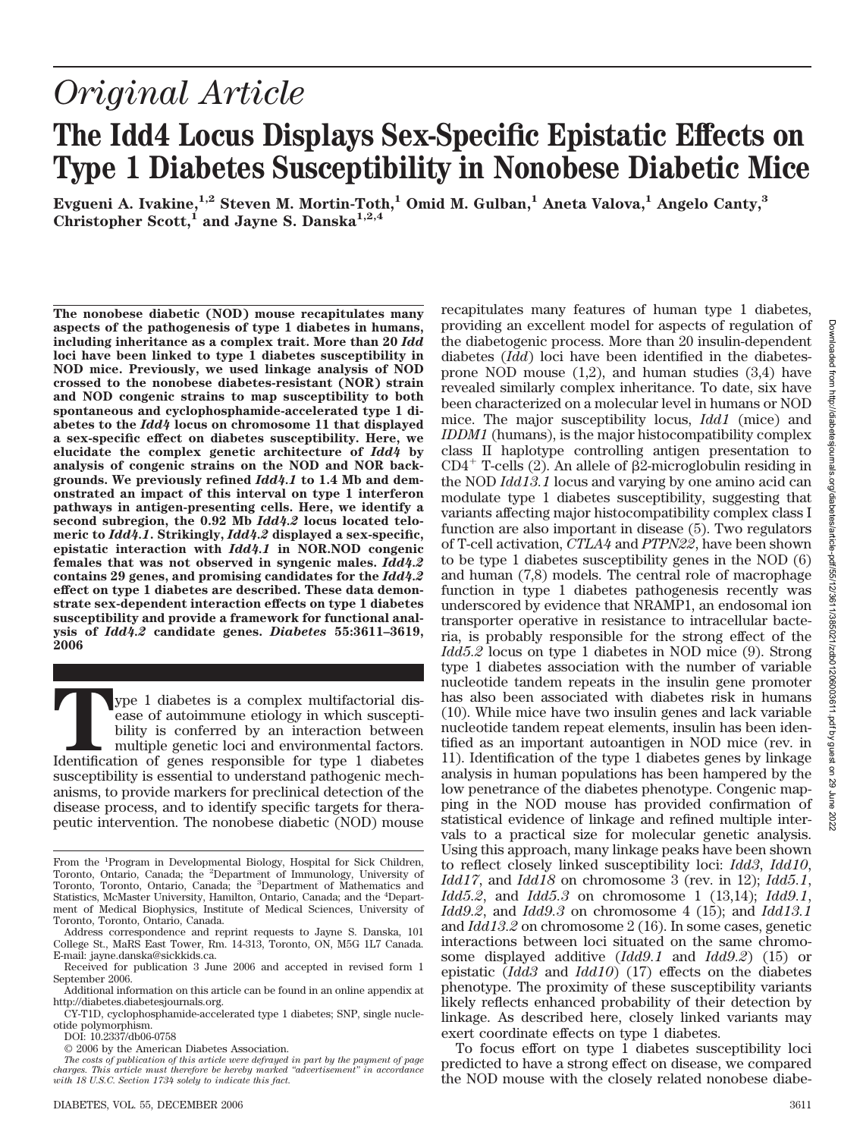# *Original Article* **The Idd4 Locus Displays Sex-Specific Epistatic Effects on Type 1 Diabetes Susceptibility in Nonobese Diabetic Mice**

 ${\rm Evqueni}$  A. Ivakine, $^{1,2}$  Steven M. Mortin-Toth, $^1$  Omid M. Gulban, $^1$  Aneta Valova, $^1$  Angelo Canty, $^3$ Christopher Scott,<sup>1</sup> and Jayne S. Danska<sup>1,2,4</sup>

**The nonobese diabetic (NOD) mouse recapitulates many aspects of the pathogenesis of type 1 diabetes in humans, including inheritance as a complex trait. More than 20** *Idd* **loci have been linked to type 1 diabetes susceptibility in NOD mice. Previously, we used linkage analysis of NOD crossed to the nonobese diabetes-resistant (NOR) strain and NOD congenic strains to map susceptibility to both spontaneous and cyclophosphamide-accelerated type 1 diabetes to the** *Idd4* **locus on chromosome 11 that displayed a sex-specific effect on diabetes susceptibility. Here, we elucidate the complex genetic architecture of** *Idd4* **by analysis of congenic strains on the NOD and NOR backgrounds. We previously refined** *Idd4.1* **to 1.4 Mb and demonstrated an impact of this interval on type 1 interferon pathways in antigen-presenting cells. Here, we identify a second subregion, the 0.92 Mb** *Idd4.2* **locus located telomeric to** *Idd4.1***. Strikingly,** *Idd4.2* **displayed a sex-specific, epistatic interaction with** *Idd4.1* **in NOR.NOD congenic females that was not observed in syngenic males.** *Idd4.2* **contains 29 genes, and promising candidates for the** *Idd4.2* **effect on type 1 diabetes are described. These data demonstrate sex-dependent interaction effects on type 1 diabetes susceptibility and provide a framework for functional analysis of** *Idd4.2* **candidate genes.** *Diabetes* **55:3611–3619, 2006**

**The 1** diabetes is a complex multifactorial disease of autoimmune etiology in which susceptibility is conferred by an interaction between multiple genetic loci and environmental factors.<br>Identification of genes responsibl ease of autoimmune etiology in which susceptibility is conferred by an interaction between multiple genetic loci and environmental factors. susceptibility is essential to understand pathogenic mechanisms, to provide markers for preclinical detection of the disease process, and to identify specific targets for therapeutic intervention. The nonobese diabetic (NOD) mouse

DOI: 10.2337/db06-0758

recapitulates many features of human type 1 diabetes, providing an excellent model for aspects of regulation of the diabetogenic process. More than 20 insulin-dependent diabetes (*Idd*) loci have been identified in the diabetesprone NOD mouse  $(1,2)$ , and human studies  $(3,4)$  have revealed similarly complex inheritance. To date, six have been characterized on a molecular level in humans or NOD mice. The major susceptibility locus, *Idd1* (mice) and *IDDM1* (humans), is the major histocompatibility complex class II haplotype controlling antigen presentation to  $CD4^+$  T-cells (2). An allele of  $\beta$ 2-microglobulin residing in the NOD *Idd13.1* locus and varying by one amino acid can modulate type 1 diabetes susceptibility, suggesting that variants affecting major histocompatibility complex class I function are also important in disease (5). Two regulators of T-cell activation, *CTLA4* and *PTPN22*, have been shown to be type 1 diabetes susceptibility genes in the NOD (6) and human (7,8) models. The central role of macrophage function in type 1 diabetes pathogenesis recently was underscored by evidence that NRAMP1, an endosomal ion transporter operative in resistance to intracellular bacteria, is probably responsible for the strong effect of the *Idd5.2* locus on type 1 diabetes in NOD mice (9). Strong type 1 diabetes association with the number of variable nucleotide tandem repeats in the insulin gene promoter has also been associated with diabetes risk in humans (10). While mice have two insulin genes and lack variable nucleotide tandem repeat elements, insulin has been identified as an important autoantigen in NOD mice (rev. in 11). Identification of the type 1 diabetes genes by linkage analysis in human populations has been hampered by the low penetrance of the diabetes phenotype. Congenic mapping in the NOD mouse has provided confirmation of statistical evidence of linkage and refined multiple intervals to a practical size for molecular genetic analysis. Using this approach, many linkage peaks have been shown to reflect closely linked susceptibility loci: *Idd3*, *Idd10*, *Idd17*, and *Idd18* on chromosome 3 (rev. in 12); *Idd5.1*, *Idd5.2*, and *Idd5.3* on chromosome 1 (13,14); *Idd9.1*, *Idd9.2*, and *Idd9.3* on chromosome 4 (15); and *Idd13.1* and *Idd13.2* on chromosome 2 (16). In some cases, genetic interactions between loci situated on the same chromosome displayed additive (*Idd9.1* and *Idd9.2*) (15) or epistatic (*Idd3* and *Idd10*) (17) effects on the diabetes phenotype. The proximity of these susceptibility variants likely reflects enhanced probability of their detection by linkage. As described here, closely linked variants may exert coordinate effects on type 1 diabetes.

To focus effort on type 1 diabetes susceptibility loci predicted to have a strong effect on disease, we compared the NOD mouse with the closely related nonobese diabe-

From the <sup>1</sup>Program in Developmental Biology, Hospital for Sick Children, Toronto, Ontario, Canada; the <sup>2</sup>Department of Immunology, University of Toronto, Toronto, Ontario, Canada; the <sup>3</sup>Department of Mathematics and Statistics, McMaster University, Hamilton, Ontario, Canada; and the <sup>4</sup>Department of Medical Biophysics, Institute of Medical Sciences, University of Toronto, Toronto, Ontario, Canada.

Address correspondence and reprint requests to Jayne S. Danska, 101 College St., MaRS East Tower, Rm. 14-313, Toronto, ON, M5G 1L7 Canada. E-mail: jayne.danska@sickkids.ca.

Received for publication 3 June 2006 and accepted in revised form 1 September 2006.

Additional information on this article can be found in an online appendix at http://diabetes.diabetesjournals.org.

CY-T1D, cyclophosphamide-accelerated type 1 diabetes; SNP, single nucleotide polymorphism.

<sup>© 2006</sup> by the American Diabetes Association.

*The costs of publication of this article were defrayed in part by the payment of page charges. This article must therefore be hereby marked "advertisement" in accordance with 18 U.S.C. Section 1734 solely to indicate this fact.*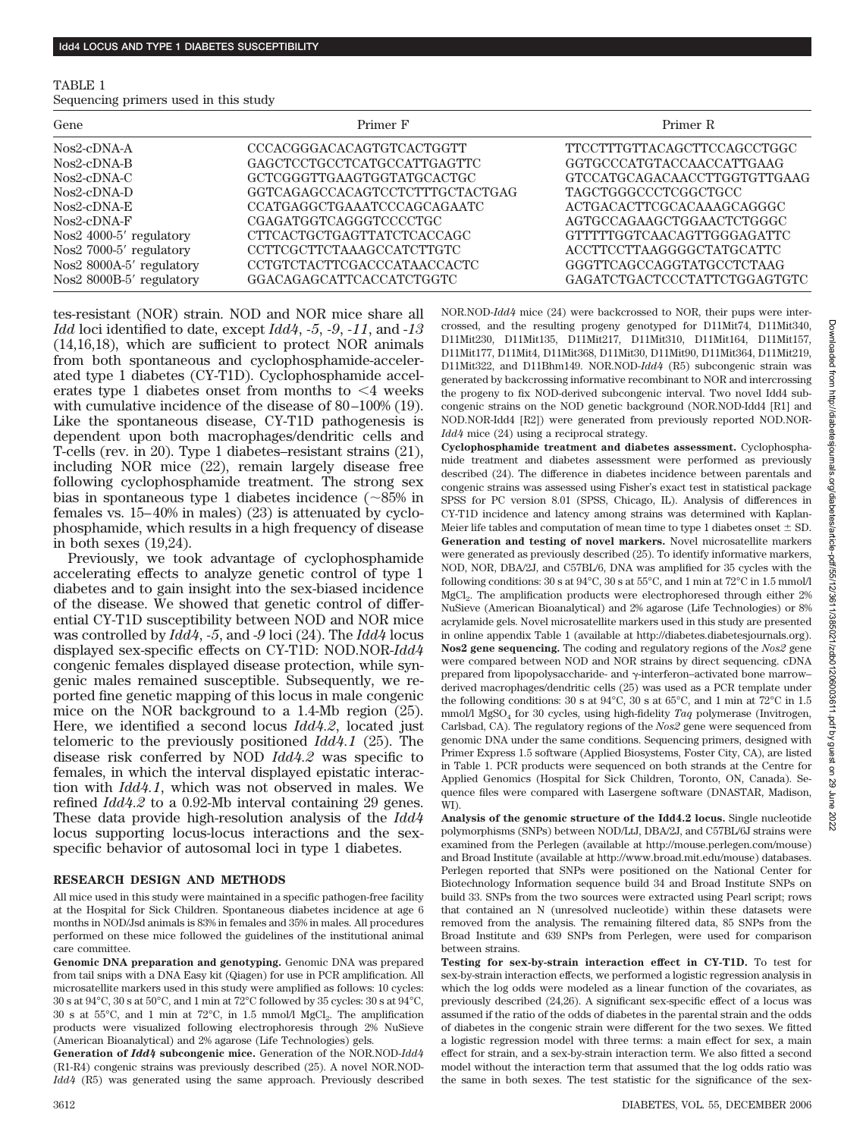| TABLE 1                               |  |  |  |
|---------------------------------------|--|--|--|
| Sequencing primers used in this study |  |  |  |

| Gene                                    | Primer F                        | Primer R                     |
|-----------------------------------------|---------------------------------|------------------------------|
| $N$ <sub>0</sub> s2-cDNA-A              | CCCACGGGACACAGTGTCACTGGTT       | TTCCTTTGTTACAGCTTCCAGCCTGGC  |
| $N$ <sub>0</sub> s2-cDNA-B              | GAGCTCCTGCCTCATGCCATTGAGTTC     | GGTGCCCATGTACCAACCATTGAAG    |
| $N$ <sub>0</sub> s2-cDNA-C              | GCTCGGGTTGAAGTGGTATGCACTGC      | GTCCATGCAGACAACCTTGGTGTTGAAG |
| $N$ <sub>os</sub> $2$ -c $DN$ $A$ - $D$ | GGTCAGAGCCACAGTCCTCTTTGCTACTGAG | <b>TAGCTGGGCCCTCGGCTGCC</b>  |
| $N$ <sub>0</sub> s2-cDNA-E              | CCATGAGGCTGAAATCCCAGCAGAATC     | ACTGACACTTCGCACAAAGCAGGGC    |
| $N$ os2-c $DN$ A-F                      | CGAGATGGTCAGGGTCCCCTGC          | AGTGCCAGAAGCTGGAACTCTGGGC    |
| Nos2 4000-5' regulatory                 | CTTCACTGCTGAGTTATCTCACCAGC      | GTTTTTGGTCAACAGTTGGGAGATTC   |
| Nos2 7000-5' regulatory                 | CCTTCGCTTCTAAAGCCATCTTGTC       | ACCTTCCTTAAGGGGCTATGCATTC    |
| Nos2 8000A-5' regulatory                | CCTGTCTACTTCGACCCATAACCACTC     | GGGTTCAGCCAGGTATGCCTCTAAG    |
| Nos2 8000B-5' regulatory                | GGACAGAGCATTCACCATCTGGTC        | GAGATCTGACTCCCTATTCTGGAGTGTC |

tes-resistant (NOR) strain. NOD and NOR mice share all *Idd* loci identified to date, except *Idd4*, *-5*, *-9*, *-11*, and -*13* (14,16,18), which are sufficient to protect NOR animals from both spontaneous and cyclophosphamide-accelerated type 1 diabetes (CY-T1D). Cyclophosphamide accelerates type 1 diabetes onset from months to  $\leq 4$  weeks with cumulative incidence of the disease of  $80-100\%$  (19). Like the spontaneous disease, CY-T1D pathogenesis is dependent upon both macrophages/dendritic cells and T-cells (rev. in 20). Type 1 diabetes–resistant strains (21), including NOR mice (22), remain largely disease free following cyclophosphamide treatment. The strong sex bias in spontaneous type 1 diabetes incidence  $(\sim 85\%$  in females vs.  $15-40\%$  in males) (23) is attenuated by cyclophosphamide, which results in a high frequency of disease in both sexes (19,24).

Previously, we took advantage of cyclophosphamide accelerating effects to analyze genetic control of type 1 diabetes and to gain insight into the sex-biased incidence of the disease. We showed that genetic control of differential CY-T1D susceptibility between NOD and NOR mice was controlled by *Idd4*, *-5*, and -*9* loci (24). The *Idd4* locus displayed sex-specific effects on CY-T1D: NOD.NOR-*Idd4* congenic females displayed disease protection, while syngenic males remained susceptible. Subsequently, we reported fine genetic mapping of this locus in male congenic mice on the NOR background to a 1.4-Mb region (25). Here, we identified a second locus *Idd4.2*, located just telomeric to the previously positioned *Idd4.1* (25). The disease risk conferred by NOD *Idd4.2* was specific to females, in which the interval displayed epistatic interaction with *Idd4.1*, which was not observed in males. We refined *Idd4.2* to a 0.92-Mb interval containing 29 genes. These data provide high-resolution analysis of the *Idd4* locus supporting locus-locus interactions and the sexspecific behavior of autosomal loci in type 1 diabetes.

# **RESEARCH DESIGN AND METHODS**

All mice used in this study were maintained in a specific pathogen-free facility at the Hospital for Sick Children. Spontaneous diabetes incidence at age 6 months in NOD/Jsd animals is 83% in females and 35% in males. All procedures performed on these mice followed the guidelines of the institutional animal care committee.

**Genomic DNA preparation and genotyping.** Genomic DNA was prepared from tail snips with a DNA Easy kit (Qiagen) for use in PCR amplification. All microsatellite markers used in this study were amplified as follows: 10 cycles: 30 s at 94°C, 30 s at 50°C, and 1 min at 72°C followed by 35 cycles: 30 s at 94°C,  $30 \text{ s at } 55^{\circ}\text{C}$ , and 1 min at  $72^{\circ}\text{C}$ , in 1.5 mmol/l MgCl<sub>2</sub>. The amplification products were visualized following electrophoresis through 2% NuSieve (American Bioanalytical) and 2% agarose (Life Technologies) gels.

**Generation of** *Idd4* **subcongenic mice.** Generation of the NOR.NOD-*Idd4* (R1-R4) congenic strains was previously described (25). A novel NOR.NOD-*Idd4* (R5) was generated using the same approach. Previously described NOR.NOD-*Idd4* mice (24) were backcrossed to NOR, their pups were intercrossed, and the resulting progeny genotyped for D11Mit74, D11Mit340, D11Mit230, D11Mit135, D11Mit217, D11Mit310, D11Mit164, D11Mit157, D11Mit177, D11Mit4, D11Mit368, D11Mit30, D11Mit90, D11Mit364, D11Mit219, D11Mit322, and D11Bhm149. NOR.NOD-*Idd4* (R5) subcongenic strain was generated by backcrossing informative recombinant to NOR and intercrossing the progeny to fix NOD-derived subcongenic interval. Two novel Idd4 subcongenic strains on the NOD genetic background (NOR.NOD-Idd4 [R1] and NOD.NOR-Idd4 [R2]) were generated from previously reported NOD.NOR-*Idd4* mice (24) using a reciprocal strategy.

**Cyclophosphamide treatment and diabetes assessment.** Cyclophosphamide treatment and diabetes assessment were performed as previously described (24). The difference in diabetes incidence between parentals and congenic strains was assessed using Fisher's exact test in statistical package SPSS for PC version 8.01 (SPSS, Chicago, IL). Analysis of differences in CY-T1D incidence and latency among strains was determined with Kaplan-Meier life tables and computation of mean time to type 1 diabetes onset  $\pm$  SD. **Generation and testing of novel markers.** Novel microsatellite markers were generated as previously described (25). To identify informative markers, NOD, NOR, DBA/2J, and C57BL/6, DNA was amplified for 35 cycles with the following conditions: 30 s at 94°C, 30 s at 55°C, and 1 min at 72°C in 1.5 mmol/l MgCl<sub>2</sub>. The amplification products were electrophoresed through either 2% NuSieve (American Bioanalytical) and 2% agarose (Life Technologies) or 8% acrylamide gels. Novel microsatellite markers used in this study are presented in online appendix Table 1 (available at http://diabetes.diabetesjournals.org). **Nos2 gene sequencing.** The coding and regulatory regions of the *Nos2* gene were compared between NOD and NOR strains by direct sequencing. cDNA prepared from lipopolysaccharide- and  $\gamma$ -interferon–activated bone marrow– derived macrophages/dendritic cells (25) was used as a PCR template under the following conditions: 30 s at 94°C, 30 s at 65°C, and 1 min at 72°C in 1.5 mmol/l MgSO<sub>4</sub> for 30 cycles, using high-fidelity *Taq* polymerase (Invitrogen, Carlsbad, CA). The regulatory regions of the *Nos2* gene were sequenced from genomic DNA under the same conditions. Sequencing primers, designed with Primer Express 1.5 software (Applied Biosystems, Foster City, CA), are listed in Table 1. PCR products were sequenced on both strands at the Centre for Applied Genomics (Hospital for Sick Children, Toronto, ON, Canada). Sequence files were compared with Lasergene software (DNASTAR, Madison, WI).

**Analysis of the genomic structure of the Idd4.2 locus.** Single nucleotide polymorphisms (SNPs) between NOD/LtJ, DBA/2J, and C57BL/6J strains were examined from the Perlegen (available at http://mouse.perlegen.com/mouse) and Broad Institute (available at http://www.broad.mit.edu/mouse) databases. Perlegen reported that SNPs were positioned on the National Center for Biotechnology Information sequence build 34 and Broad Institute SNPs on build 33. SNPs from the two sources were extracted using Pearl script; rows that contained an N (unresolved nucleotide) within these datasets were removed from the analysis. The remaining filtered data, 85 SNPs from the Broad Institute and 639 SNPs from Perlegen, were used for comparison between strains.

**Testing for sex-by-strain interaction effect in CY-T1D.** To test for sex-by-strain interaction effects, we performed a logistic regression analysis in which the log odds were modeled as a linear function of the covariates, as previously described (24,26). A significant sex-specific effect of a locus was assumed if the ratio of the odds of diabetes in the parental strain and the odds of diabetes in the congenic strain were different for the two sexes. We fitted a logistic regression model with three terms: a main effect for sex, a main effect for strain, and a sex-by-strain interaction term. We also fitted a second model without the interaction term that assumed that the log odds ratio was the same in both sexes. The test statistic for the significance of the sex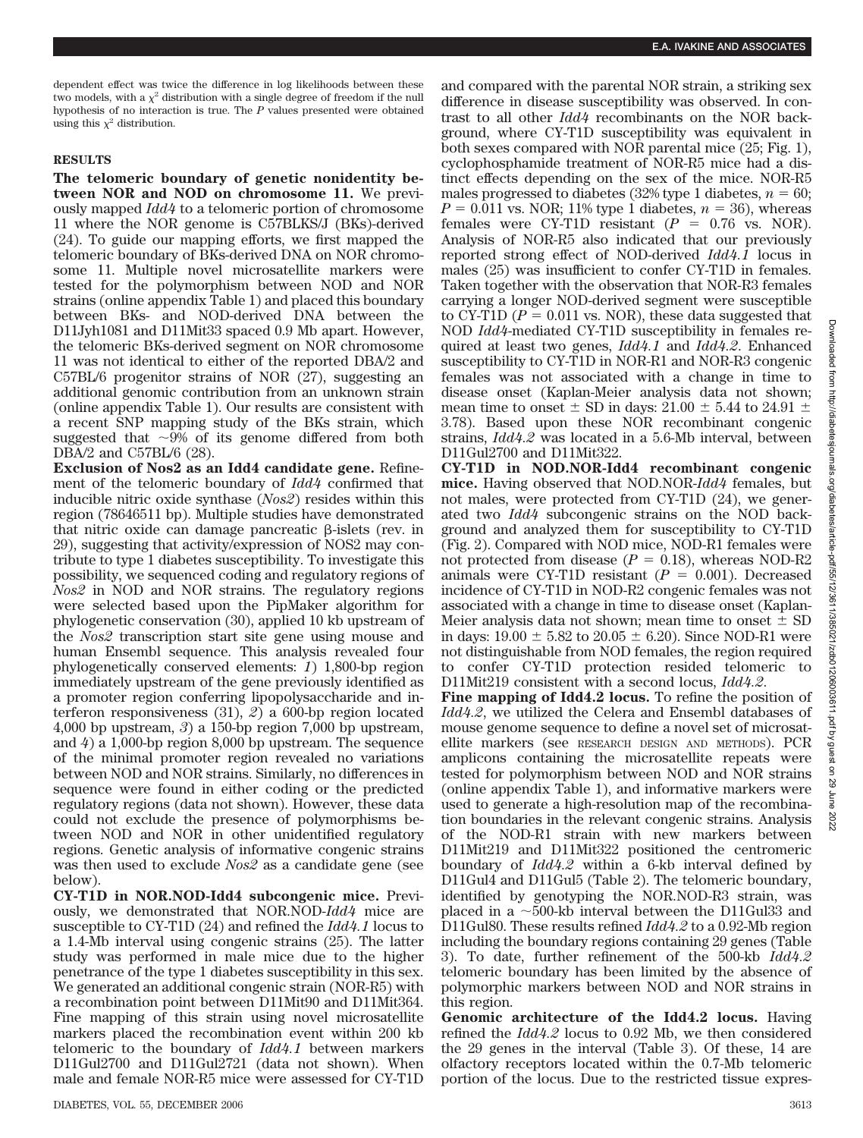dependent effect was twice the difference in log likelihoods between these two models, with a  $\chi^2$  distribution with a single degree of freedom if the null hypothesis of no interaction is true. The *P* values presented were obtained using this  $\chi^2$  distribution.

## **RESULTS**

**The telomeric boundary of genetic nonidentity between NOR and NOD on chromosome 11.** We previously mapped *Idd4* to a telomeric portion of chromosome 11 where the NOR genome is C57BLKS/J (BKs)-derived (24). To guide our mapping efforts, we first mapped the telomeric boundary of BKs-derived DNA on NOR chromosome 11. Multiple novel microsatellite markers were tested for the polymorphism between NOD and NOR strains (online appendix Table 1) and placed this boundary between BKs- and NOD-derived DNA between the D11Jyh1081 and D11Mit33 spaced 0.9 Mb apart. However, the telomeric BKs-derived segment on NOR chromosome 11 was not identical to either of the reported DBA/2 and C57BL/6 progenitor strains of NOR (27), suggesting an additional genomic contribution from an unknown strain (online appendix Table 1). Our results are consistent with a recent SNP mapping study of the BKs strain, which suggested that  $\sim 9\%$  of its genome differed from both DBA/2 and C57BL/6 (28).

**Exclusion of Nos2 as an Idd4 candidate gene.** Refinement of the telomeric boundary of *Idd4* confirmed that inducible nitric oxide synthase (*Nos2*) resides within this region (78646511 bp). Multiple studies have demonstrated that nitric oxide can damage pancreatic  $\beta$ -islets (rev. in 29), suggesting that activity/expression of NOS2 may contribute to type 1 diabetes susceptibility. To investigate this possibility, we sequenced coding and regulatory regions of *Nos2* in NOD and NOR strains. The regulatory regions were selected based upon the PipMaker algorithm for phylogenetic conservation (30), applied 10 kb upstream of the *Nos2* transcription start site gene using mouse and human Ensembl sequence. This analysis revealed four phylogenetically conserved elements: *1*) 1,800-bp region immediately upstream of the gene previously identified as a promoter region conferring lipopolysaccharide and interferon responsiveness (31), *2*) a 600-bp region located 4,000 bp upstream, *3*) a 150-bp region 7,000 bp upstream, and *4*) a 1,000-bp region 8,000 bp upstream. The sequence of the minimal promoter region revealed no variations between NOD and NOR strains. Similarly, no differences in sequence were found in either coding or the predicted regulatory regions (data not shown). However, these data could not exclude the presence of polymorphisms between NOD and NOR in other unidentified regulatory regions. Genetic analysis of informative congenic strains was then used to exclude *Nos2* as a candidate gene (see below).

**CY-T1D in NOR.NOD-Idd4 subcongenic mice.** Previously, we demonstrated that NOR.NOD-*Idd4* mice are susceptible to CY-T1D (24) and refined the *Idd4.1* locus to a 1.4-Mb interval using congenic strains (25). The latter study was performed in male mice due to the higher penetrance of the type 1 diabetes susceptibility in this sex. We generated an additional congenic strain (NOR-R5) with a recombination point between D11Mit90 and D11Mit364. Fine mapping of this strain using novel microsatellite markers placed the recombination event within 200 kb telomeric to the boundary of *Idd4.1* between markers D11Gul2700 and D11Gul2721 (data not shown). When male and female NOR-R5 mice were assessed for CY-T1D

and compared with the parental NOR strain, a striking sex difference in disease susceptibility was observed. In contrast to all other *Idd4* recombinants on the NOR background, where CY-T1D susceptibility was equivalent in both sexes compared with NOR parental mice (25; Fig. 1), cyclophosphamide treatment of NOR-R5 mice had a distinct effects depending on the sex of the mice. NOR-R5 males progressed to diabetes (32% type 1 diabetes,  $n = 60$ ;  $P = 0.011$  vs. NOR; 11% type 1 diabetes,  $n = 36$ ), whereas females were CY-T1D resistant  $(P = 0.76$  vs. NOR). Analysis of NOR-R5 also indicated that our previously reported strong effect of NOD-derived *Idd4.1* locus in males (25) was insufficient to confer CY-T1D in females. Taken together with the observation that NOR-R3 females carrying a longer NOD-derived segment were susceptible to CY-T1D  $(P = 0.011 \text{ vs. } \text{NOR})$ , these data suggested that NOD *Idd4*-mediated CY-T1D susceptibility in females required at least two genes, *Idd4.1* and *Idd4.2*. Enhanced susceptibility to CY-T1D in NOR-R1 and NOR-R3 congenic females was not associated with a change in time to disease onset (Kaplan-Meier analysis data not shown; mean time to onset  $\pm$  SD in days: 21.00  $\pm$  5.44 to 24.91  $\pm$ 3.78). Based upon these NOR recombinant congenic strains, *Idd4.2* was located in a 5.6-Mb interval, between D11Gul2700 and D11Mit322.

**CY-T1D in NOD.NOR-Idd4 recombinant congenic mice.** Having observed that NOD.NOR-*Idd4* females, but not males, were protected from CY-T1D (24), we generated two *Idd4* subcongenic strains on the NOD background and analyzed them for susceptibility to CY-T1D (Fig. 2). Compared with NOD mice, NOD-R1 females were not protected from disease  $(P = 0.18)$ , whereas NOD-R2 animals were CY-T1D resistant  $(P = 0.001)$ . Decreased incidence of CY-T1D in NOD-R2 congenic females was not associated with a change in time to disease onset (Kaplan-Meier analysis data not shown; mean time to onset  $\pm$  SD in days:  $19.00 \pm 5.82$  to  $20.05 \pm 6.20$ ). Since NOD-R1 were not distinguishable from NOD females, the region required to confer CY-T1D protection resided telomeric D11Mit219 consistent with a second locus, *Idd4.2*.

**Fine mapping of Idd4.2 locus.** To refine the position of *Idd4.2*, we utilized the Celera and Ensembl databases of mouse genome sequence to define a novel set of microsatellite markers (see RESEARCH DESIGN AND METHODS). PCR amplicons containing the microsatellite repeats were tested for polymorphism between NOD and NOR strains (online appendix Table 1), and informative markers were used to generate a high-resolution map of the recombination boundaries in the relevant congenic strains. Analysis of the NOD-R1 strain with new markers between D11Mit219 and D11Mit322 positioned the centromeric boundary of *Idd4.2* within a 6-kb interval defined by D11Gul4 and D11Gul5 (Table 2). The telomeric boundary, identified by genotyping the NOR.NOD-R3 strain, was placed in a  $\sim$ 500-kb interval between the D11Gul33 and D11Gul80. These results refined *Idd4.2* to a 0.92-Mb region including the boundary regions containing 29 genes (Table 3). To date, further refinement of the 500-kb *Idd4.2* telomeric boundary has been limited by the absence of polymorphic markers between NOD and NOR strains in this region.

**Genomic architecture of the Idd4.2 locus.** Having refined the *Idd4.2* locus to 0.92 Mb, we then considered the 29 genes in the interval (Table 3). Of these, 14 are olfactory receptors located within the 0.7-Mb telomeric portion of the locus. Due to the restricted tissue expres-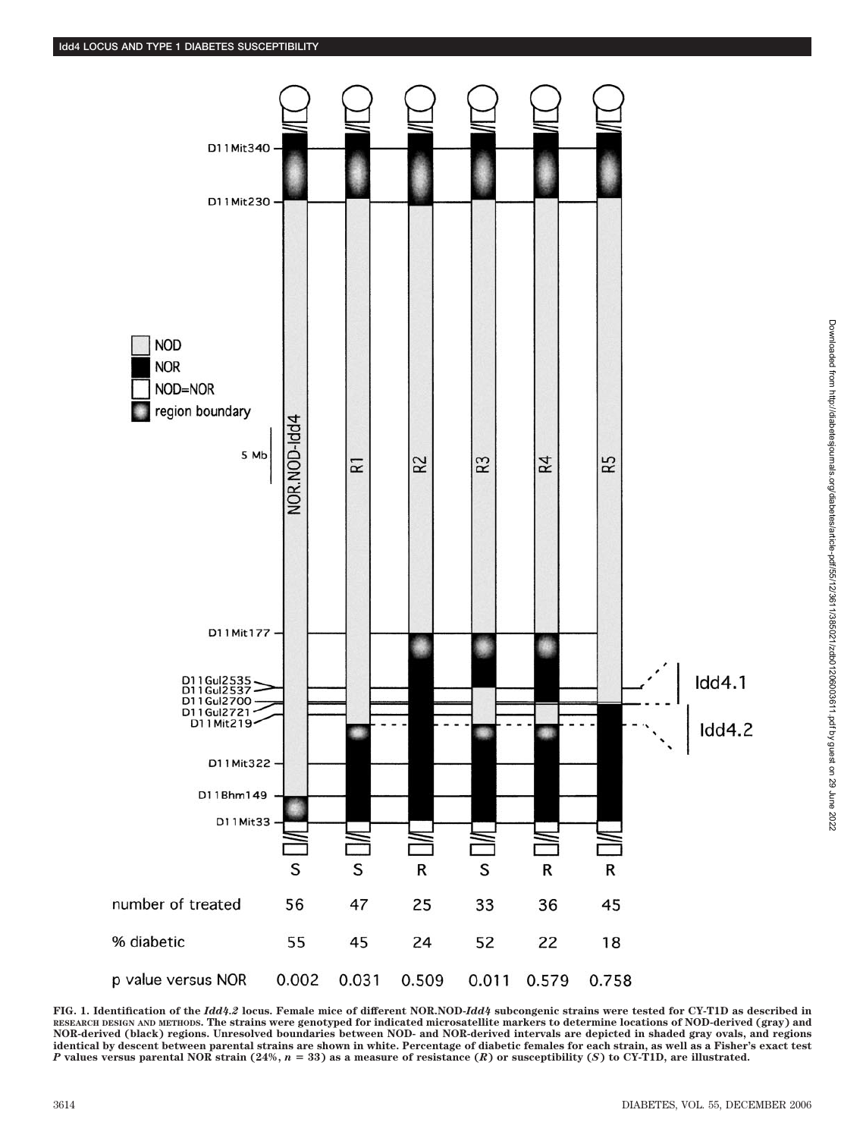

**FIG. 1. Identification of the** *Idd4.2* **locus. Female mice of different NOR.NOD-***Idd4* **subcongenic strains were tested for CY-T1D as described in RESEARCH DESIGN AND METHODS. The strains were genotyped for indicated microsatellite markers to determine locations of NOD-derived (gray) and NOR-derived (black) regions. Unresolved boundaries between NOD- and NOR-derived intervals are depicted in shaded gray ovals, and regions identical by descent between parental strains are shown in white. Percentage of diabetic females for each strain, as well as a Fisher's exact test** *P* **values versus parental NOR strain (24%,** *n* **33) as a measure of resistance (***R***) or susceptibility (***S***) to CY-T1D, are illustrated.**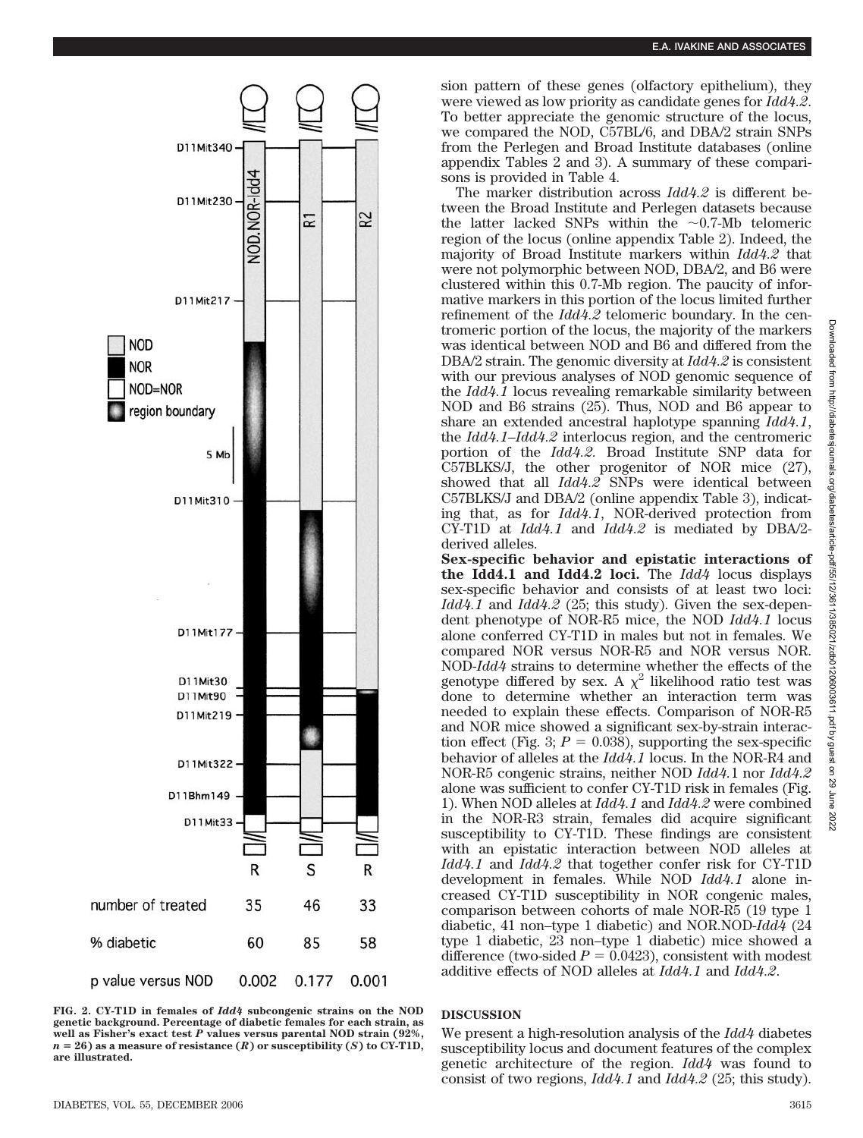

**FIG. 2. CY-T1D in females of** *Idd4* **subcongenic strains on the NOD genetic background. Percentage of diabetic females for each strain, as well as Fisher's exact test** *P* **values versus parental NOD strain (92%,**  $n = 26$  as a measure of resistance  $(R)$  or susceptibility  $(S)$  to CY-T1D, **are illustrated.**

sion pattern of these genes (olfactory epithelium), they were viewed as low priority as candidate genes for *Idd4.2*. To better appreciate the genomic structure of the locus, we compared the NOD, C57BL/6, and DBA/2 strain SNPs from the Perlegen and Broad Institute databases (online appendix Tables 2 and 3). A summary of these comparisons is provided in Table 4.

The marker distribution across *Idd4.2* is different between the Broad Institute and Perlegen datasets because the latter lacked SNPs within the  $\sim 0.7$ -Mb telomeric region of the locus (online appendix Table 2). Indeed, the majority of Broad Institute markers within *Idd4.2* that were not polymorphic between NOD, DBA/2, and B6 were clustered within this 0.7-Mb region. The paucity of informative markers in this portion of the locus limited further refinement of the *Idd4.2* telomeric boundary. In the centromeric portion of the locus, the majority of the markers was identical between NOD and B6 and differed from the DBA/2 strain. The genomic diversity at *Idd4.2* is consistent with our previous analyses of NOD genomic sequence of the *Idd4.1* locus revealing remarkable similarity between NOD and B6 strains (25). Thus, NOD and B6 appear to share an extended ancestral haplotype spanning *Idd4.1*, the *Idd4.1–Idd4.2* interlocus region, and the centromeric portion of the *Idd4.2.* Broad Institute SNP data for C57BLKS/J, the other progenitor of NOR mice (27), showed that all *Idd4.2* SNPs were identical between C57BLKS/J and DBA/2 (online appendix Table 3), indicating that, as for *Idd4.1*, NOR-derived protection from CY-T1D at *Idd4.1* and *Idd4.2* is mediated by DBA/2 derived alleles.

**Sex-specific behavior and epistatic interactions of the Idd4.1 and Idd4.2 loci.** The *Idd4* locus displays sex-specific behavior and consists of at least two loci: *Idd4.1* and *Idd4.2* (25; this study). Given the sex-dependent phenotype of NOR-R5 mice, the NOD *Idd4.1* locus alone conferred CY-T1D in males but not in females. We compared NOR versus NOR-R5 and NOR versus NOR. NOD-*Idd4* strains to determine whether the effects of the genotype differed by sex. A  $\chi^2$  likelihood ratio test was done to determine whether an interaction term was needed to explain these effects. Comparison of NOR-R5 and NOR mice showed a significant sex-by-strain interaction effect (Fig. 3;  $P = 0.038$ ), supporting the sex-specific behavior of alleles at the *Idd4.1* locus. In the NOR-R4 and NOR-R5 congenic strains, neither NOD *Idd4.*1 nor *Idd4.2* alone was sufficient to confer CY-T1D risk in females (Fig. 1). When NOD alleles at *Idd4.1* and *Idd4.2* were combined in the NOR-R3 strain, females did acquire significant susceptibility to CY-T1D. These findings are consistent with an epistatic interaction between NOD alleles at *Idd4.1* and *Idd4.2* that together confer risk for CY-T1D development in females. While NOD *Idd4.1* alone increased CY-T1D susceptibility in NOR congenic males, comparison between cohorts of male NOR-R5 (19 type 1 diabetic, 41 non–type 1 diabetic) and NOR.NOD-*Idd4* (24 type 1 diabetic, 23 non–type 1 diabetic) mice showed a difference (two-sided  $P = 0.0423$ ), consistent with modest additive effects of NOD alleles at *Idd4.1* and *Idd4.2*.

## **DISCUSSION**

We present a high-resolution analysis of the *Idd4* diabetes susceptibility locus and document features of the complex genetic architecture of the region. *Idd4* was found to consist of two regions, *Idd4.1* and *Idd4.2* (25; this study).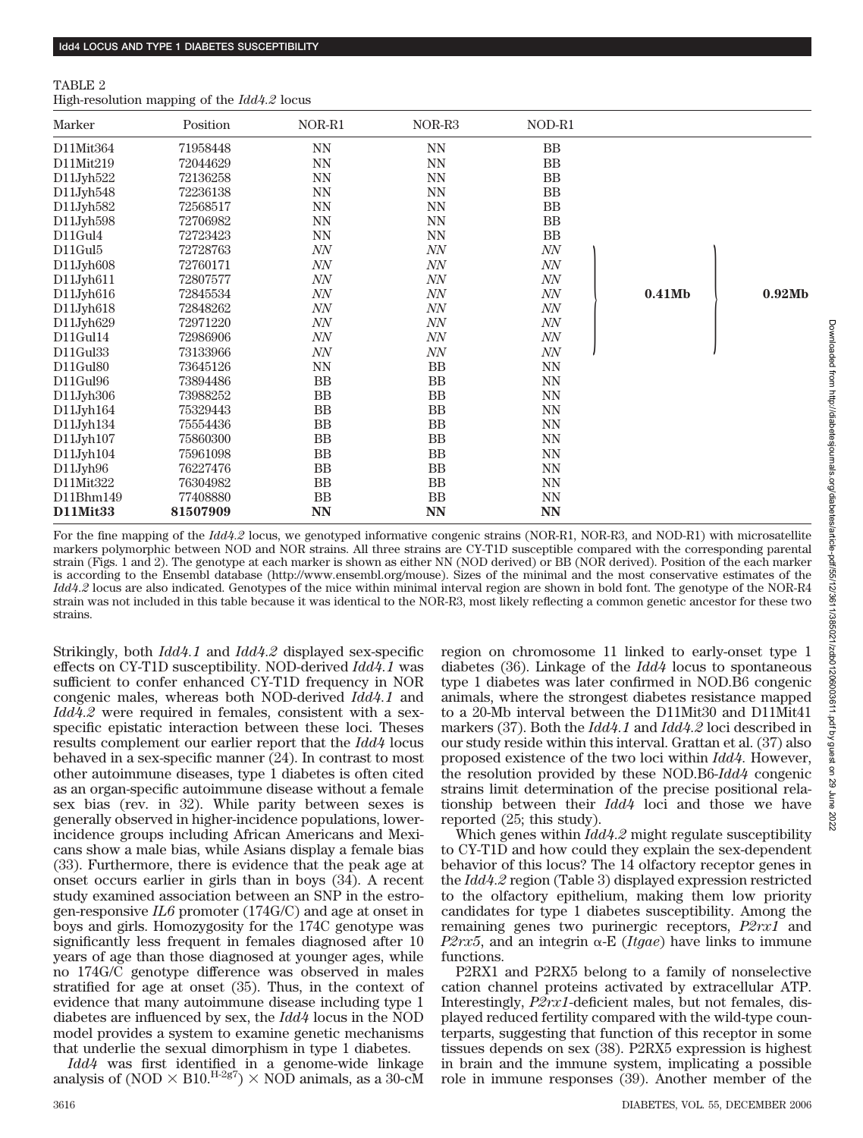#### TABLE 2

High-resolution mapping of the *Idd4.2* locus

| Marker          | Position | NOR-R1    | NOR-R3    | NOD-R1    |        |        |
|-----------------|----------|-----------|-----------|-----------|--------|--------|
| D11Mit364       | 71958448 | <b>NN</b> | NN        | <b>BB</b> |        |        |
| D11Mit219       | 72044629 | <b>NN</b> | <b>NN</b> | <b>BB</b> |        |        |
| D11Jyh522       | 72136258 | NN        | <b>NN</b> | BB        |        |        |
| D11Jyh548       | 72236138 | <b>NN</b> | <b>NN</b> | <b>BB</b> |        |        |
| D11Jyh582       | 72568517 | <b>NN</b> | <b>NN</b> | <b>BB</b> |        |        |
| D11Jyh598       | 72706982 | <b>NN</b> | <b>NN</b> | BB        |        |        |
| D11Gul4         | 72723423 | <b>NN</b> | <b>NN</b> | <b>BB</b> |        |        |
| D11Gul5         | 72728763 | NN        | NN        | NN        |        |        |
| D11Jyh608       | 72760171 | NN        | NN        | $N\!N$    |        |        |
| D11Jyh611       | 72807577 | NN        | NN        | NN        |        |        |
| $D11J$ yh $616$ | 72845534 | $N\!N$    | $N\!N$    | NN        | 0.41Mb | 0.92Mb |
| D11Jyh618       | 72848262 | NN        | NN        | NN        |        |        |
| D11Jyh629       | 72971220 | NN        | NN        | NN        |        |        |
| D11Gul14        | 72986906 | NN        | NN        | NN        |        |        |
| $D11$ Gul $33$  | 73133966 | NN        | NN        | NN        |        |        |
| D11Gul80        | 73645126 | <b>NN</b> | <b>BB</b> | <b>NN</b> |        |        |
| $D11$ Gul $96$  | 73894486 | <b>BB</b> | <b>BB</b> | <b>NN</b> |        |        |
| D11Jyh306       | 73988252 | <b>BB</b> | <b>BB</b> | <b>NN</b> |        |        |
| D11Jyh164       | 75329443 | <b>BB</b> | <b>BB</b> | <b>NN</b> |        |        |
| D11Jyh134       | 75554436 | <b>BB</b> | <b>BB</b> | <b>NN</b> |        |        |
| D11Jyh107       | 75860300 | <b>BB</b> | <b>BB</b> | <b>NN</b> |        |        |
| D11Jv h 104     | 75961098 | <b>BB</b> | BB        | <b>NN</b> |        |        |
| D11Jyh96        | 76227476 | <b>BB</b> | <b>BB</b> | <b>NN</b> |        |        |
| D11Mit322       | 76304982 | <b>BB</b> | <b>BB</b> | <b>NN</b> |        |        |
| D11Bhm149       | 77408880 | <b>BB</b> | <b>BB</b> | <b>NN</b> |        |        |
| D11Mit33        | 81507909 | <b>NN</b> | <b>NN</b> | <b>NN</b> |        |        |

For the fine mapping of the *Idd4.2* locus, we genotyped informative congenic strains (NOR-R1, NOR-R3, and NOD-R1) with microsatellite markers polymorphic between NOD and NOR strains. All three strains are CY-T1D susceptible compared with the corresponding parental strain (Figs. 1 and 2). The genotype at each marker is shown as either NN (NOD derived) or BB (NOR derived). Position of the each marker is according to the Ensembl database (http://www.ensembl.org/mouse). Sizes of the minimal and the most conservative estimates of the *Idd4.2* locus are also indicated. Genotypes of the mice within minimal interval region are shown in bold font. The genotype of the NOR-R4 strain was not included in this table because it was identical to the NOR-R3, most likely reflecting a common genetic ancestor for these two strains.

Strikingly, both *Idd4.1* and *Idd4.2* displayed sex-specific effects on CY-T1D susceptibility. NOD-derived *Idd4.1* was sufficient to confer enhanced CY-T1D frequency in NOR congenic males, whereas both NOD-derived *Idd4.1* and *Idd4.2* were required in females, consistent with a sexspecific epistatic interaction between these loci. Theses results complement our earlier report that the *Idd4* locus behaved in a sex-specific manner (24). In contrast to most other autoimmune diseases, type 1 diabetes is often cited as an organ-specific autoimmune disease without a female sex bias (rev. in 32). While parity between sexes is generally observed in higher-incidence populations, lowerincidence groups including African Americans and Mexicans show a male bias, while Asians display a female bias (33). Furthermore, there is evidence that the peak age at onset occurs earlier in girls than in boys (34). A recent study examined association between an SNP in the estrogen-responsive *IL6* promoter (174G/C) and age at onset in boys and girls. Homozygosity for the 174C genotype was significantly less frequent in females diagnosed after 10 years of age than those diagnosed at younger ages, while no 174G/C genotype difference was observed in males stratified for age at onset (35). Thus, in the context of evidence that many autoimmune disease including type 1 diabetes are influenced by sex, the *Idd4* locus in the NOD model provides a system to examine genetic mechanisms that underlie the sexual dimorphism in type 1 diabetes.

*Idd4* was first identified in a genome-wide linkage analysis of (NOD  $\times$  B10.<sup>H-2g7</sup>)  $\times$  NOD animals, as a 30-cM

region on chromosome 11 linked to early-onset type 1 diabetes (36). Linkage of the *Idd4* locus to spontaneous type 1 diabetes was later confirmed in NOD.B6 congenic animals, where the strongest diabetes resistance mapped to a 20-Mb interval between the D11Mit30 and D11Mit41 markers (37). Both the *Idd4.1* and *Idd4.2* loci described in our study reside within this interval. Grattan et al. (37) also proposed existence of the two loci within *Idd4.* However, the resolution provided by these NOD.B6-*Idd4* congenic strains limit determination of the precise positional relationship between their *Idd4* loci and those we have reported (25; this study).

Which genes within *Idd4.2* might regulate susceptibility to CY-T1D and how could they explain the sex-dependent behavior of this locus? The 14 olfactory receptor genes in the *Idd4.2* region (Table 3) displayed expression restricted to the olfactory epithelium, making them low priority candidates for type 1 diabetes susceptibility. Among the remaining genes two purinergic receptors, *P2rx1* and *P2rx5*, and an integrin  $\alpha$ -E (*Itgae*) have links to immune functions.

P2RX1 and P2RX5 belong to a family of nonselective cation channel proteins activated by extracellular ATP. Interestingly, *P2rx1*-deficient males, but not females, displayed reduced fertility compared with the wild-type counterparts, suggesting that function of this receptor in some tissues depends on sex (38). P2RX5 expression is highest in brain and the immune system, implicating a possible role in immune responses (39). Another member of the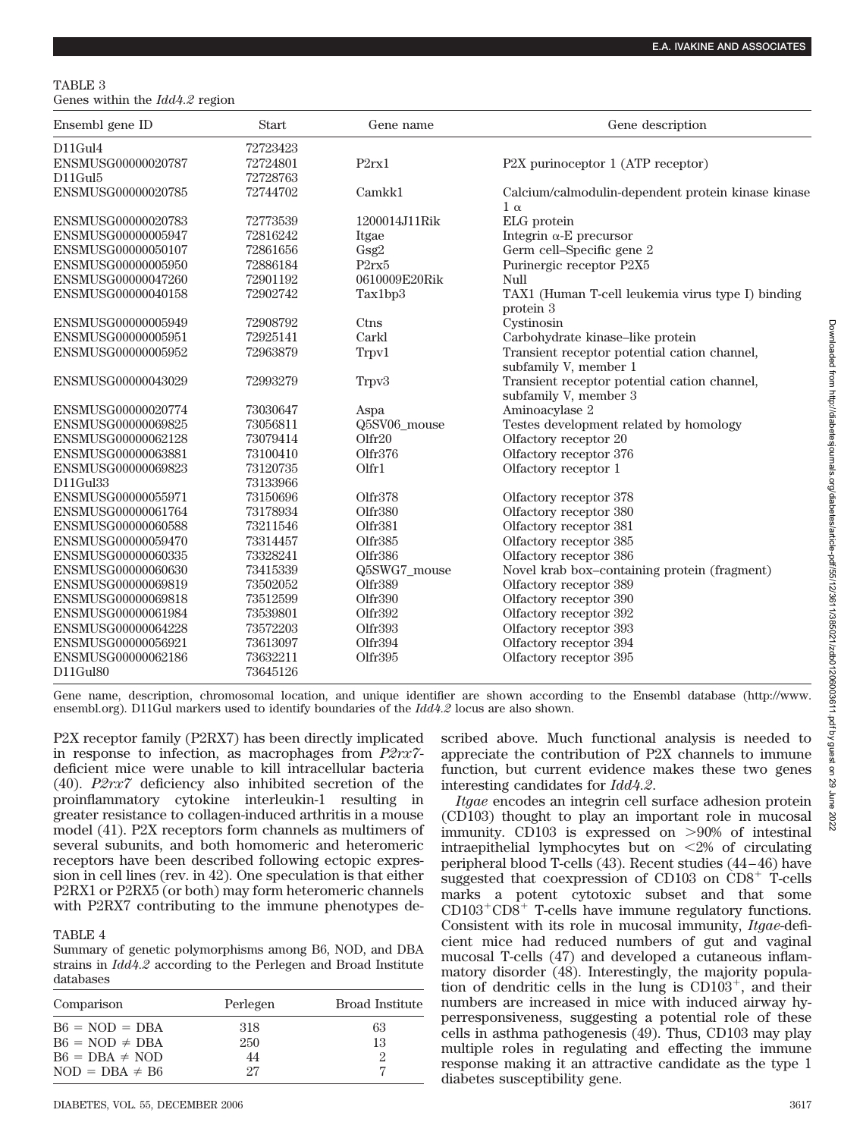#### TABLE 3 Genes within the *Idd4.2* region

| Ensembl gene ID    | <b>Start</b> | Gene name                      | Gene description                                   |
|--------------------|--------------|--------------------------------|----------------------------------------------------|
| $D11$ Gul4         | 72723423     |                                |                                                    |
| ENSMUSG00000020787 | 72724801     | P2rx1                          | P2X purinoceptor 1 (ATP receptor)                  |
| $D11$ Gul $5$      | 72728763     |                                |                                                    |
| ENSMUSG00000020785 | 72744702     | Camkk1                         | Calcium/calmodulin-dependent protein kinase kinase |
|                    |              |                                | $1 \alpha$                                         |
| ENSMUSG00000020783 | 72773539     | 1200014J11Rik                  | ELG protein                                        |
| ENSMUSG00000005947 | 72816242     | Itgae                          | Integrin $\alpha$ -E precursor                     |
| ENSMUSG00000050107 | 72861656     | Gsg2                           | Germ cell-Specific gene 2                          |
| ENSMUSG00000005950 | 72886184     | P <sub>2</sub> rx <sub>5</sub> | Purinergic receptor P2X5                           |
| ENSMUSG00000047260 | 72901192     | 0610009E20Rik                  | Null                                               |
| ENSMUSG00000040158 | 72902742     | Tax1bp3                        | TAX1 (Human T-cell leukemia virus type I) binding  |
|                    |              |                                | protein 3                                          |
| ENSMUSG00000005949 | 72908792     | Ctns                           | Cystinosin                                         |
| ENSMUSG00000005951 | 72925141     | Carkl                          | Carbohydrate kinase-like protein                   |
| ENSMUSG00000005952 | 72963879     | Trpv1                          | Transient receptor potential cation channel,       |
|                    |              |                                | subfamily V, member 1                              |
| ENSMUSG00000043029 | 72993279     | Trpv3                          | Transient receptor potential cation channel,       |
|                    |              |                                | subfamily V, member 3                              |
| ENSMUSG00000020774 | 73030647     | Aspa                           | Aminoacylase 2                                     |
| ENSMUSG00000069825 | 73056811     | Q5SV06 mouse                   | Testes development related by homology             |
| ENSMUSG00000062128 | 73079414     | Olfr20                         | Olfactory receptor 20                              |
| ENSMUSG00000063881 | 73100410     | Olfr376                        | Olfactory receptor 376                             |
| ENSMUSG00000069823 | 73120735     | Olfr1                          | Olfactory receptor 1                               |
| D11Gul33           | 73133966     |                                |                                                    |
| ENSMUSG00000055971 | 73150696     | Olfr378                        | Olfactory receptor 378                             |
| ENSMUSG00000061764 | 73178934     | Olfr380                        | Olfactory receptor 380                             |
| ENSMUSG00000060588 | 73211546     | Olfr381                        | Olfactory receptor 381                             |
| ENSMUSG00000059470 | 73314457     | Olfr385                        | Olfactory receptor 385                             |
| ENSMUSG00000060335 | 73328241     | Olfr386                        | Olfactory receptor 386                             |
| ENSMUSG00000060630 | 73415339     | Q5SWG7 mouse                   | Novel krab box-containing protein (fragment)       |
| ENSMUSG00000069819 | 73502052     | Olfr389                        | Olfactory receptor 389                             |
| ENSMUSG00000069818 | 73512599     | Olfr390                        | Olfactory receptor 390                             |
| ENSMUSG00000061984 | 73539801     | Olfr392                        | Olfactory receptor 392                             |
| ENSMUSG00000064228 | 73572203     | Olfr393                        | Olfactory receptor 393                             |
| ENSMUSG00000056921 | 73613097     | Olfr394                        | Olfactory receptor 394                             |
| ENSMUSG00000062186 | 73632211     | Olfr395                        | Olfactory receptor 395                             |
| D11Gul80           | 73645126     |                                |                                                    |

Gene name, description, chromosomal location, and unique identifier are shown according to the Ensembl database (http://www. ensembl.org). D11Gul markers used to identify boundaries of the *Idd4.2* locus are also shown.

P2X receptor family (P2RX7) has been directly implicated in response to infection, as macrophages from *P2rx7* deficient mice were unable to kill intracellular bacteria (40). *P2rx7* deficiency also inhibited secretion of the proinflammatory cytokine interleukin-1 resulting in greater resistance to collagen-induced arthritis in a mouse model (41). P2X receptors form channels as multimers of several subunits, and both homomeric and heteromeric receptors have been described following ectopic expression in cell lines (rev. in 42). One speculation is that either P2RX1 or P2RX5 (or both) may form heteromeric channels with P2RX7 contributing to the immune phenotypes de-

# TABLE 4

Summary of genetic polymorphisms among B6, NOD, and DBA strains in *Idd4.2* according to the Perlegen and Broad Institute databases

| Comparison          | Perlegen | <b>Broad Institute</b> |
|---------------------|----------|------------------------|
| $B6 = NOD = DBA$    | 318      | 63                     |
| $B6 = NOD \neq DBA$ | 250      | 13                     |
| $B6 = DBA \neq NOD$ | 44       | 2                      |
| $NOD = DBA \neq B6$ | 27       | 7                      |

scribed above. Much functional analysis is needed to appreciate the contribution of P2X channels to immune function, but current evidence makes these two genes interesting candidates for *Idd4.2*.

*Itgae* encodes an integrin cell surface adhesion protein (CD103) thought to play an important role in mucosal immunity. CD103 is expressed on  $>90\%$  of intestinal intraepithelial lymphocytes but on  $\langle 2\% \rangle$  of circulating peripheral blood T-cells (43). Recent studies (44 – 46) have suggested that coexpression of  $CD103$  on  $CD8<sup>+</sup>$  T-cells marks a potent cytotoxic subset and that some  $CD103^+CD8^+$  T-cells have immune regulatory functions. Consistent with its role in mucosal immunity, *Itgae*-deficient mice had reduced numbers of gut and vaginal mucosal T-cells (47) and developed a cutaneous inflammatory disorder (48). Interestingly, the majority population of dendritic cells in the lung is  $CD103^+$ , and their numbers are increased in mice with induced airway hyperresponsiveness, suggesting a potential role of these cells in asthma pathogenesis (49). Thus, CD103 may play multiple roles in regulating and effecting the immune response making it an attractive candidate as the type 1 diabetes susceptibility gene.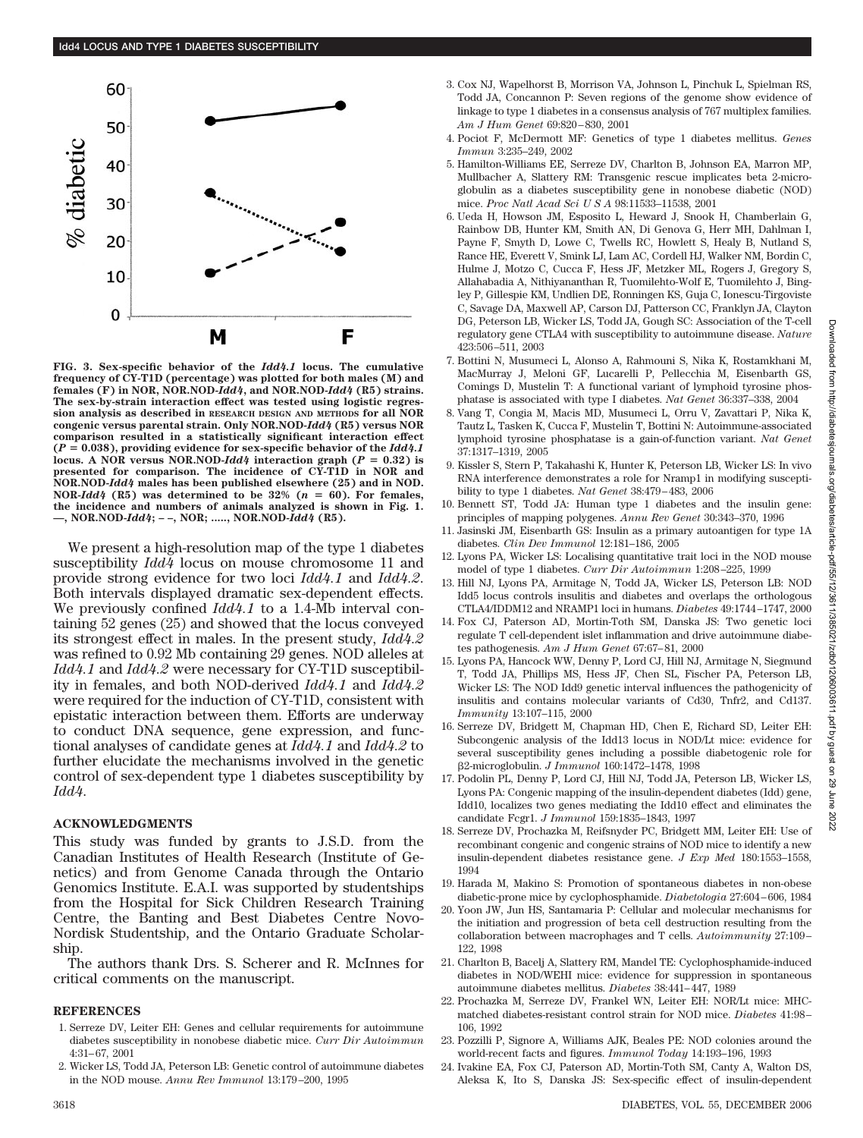

**FIG. 3. Sex-specific behavior of the** *Idd4.1* **locus. The cumulative frequency of CY-T1D (percentage) was plotted for both males (M) and females (F) in NOR, NOR.NOD-***Idd4***, and NOR.NOD-***Idd4* **(R5) strains. The sex-by-strain interaction effect was tested using logistic regression analysis as described in RESEARCH DESIGN AND METHODS for all NOR congenic versus parental strain. Only NOR.NOD-***Idd4* **(R5) versus NOR comparison resulted in a statistically significant interaction effect**  $(P = 0.038)$ , providing evidence for sex-specific behavior of the  $Idd4.1$ **locus.** A NOR versus NOR.NOD-*Idd4* interaction graph ( $P = 0.32$ ) is **presented for comparison. The incidence of CY-T1D in NOR and NOR.NOD-***Idd4* **males has been published elsewhere (25) and in NOD. NOR-***Idd4* **(R5) was determined to be 32% (** $n = 60$ **). For females, the incidence and numbers of animals analyzed is shown in Fig. 1. —, NOR.NOD-***Idd4***; – –, NOR; ....., NOR.NOD-***Idd4* **(R5).**

We present a high-resolution map of the type 1 diabetes susceptibility *Idd4* locus on mouse chromosome 11 and provide strong evidence for two loci *Idd4.1* and *Idd4.2*. Both intervals displayed dramatic sex-dependent effects. We previously confined *Idd4.1* to a 1.4-Mb interval containing 52 genes (25) and showed that the locus conveyed its strongest effect in males. In the present study, *Idd4.2* was refined to 0.92 Mb containing 29 genes. NOD alleles at *Idd4.1* and *Idd4.2* were necessary for CY-T1D susceptibility in females, and both NOD-derived *Idd4.1* and *Idd4.2* were required for the induction of CY-T1D, consistent with epistatic interaction between them. Efforts are underway to conduct DNA sequence, gene expression, and functional analyses of candidate genes at *Idd4.1* and *Idd4.2* to further elucidate the mechanisms involved in the genetic control of sex-dependent type 1 diabetes susceptibility by *Idd4*.

## **ACKNOWLEDGMENTS**

This study was funded by grants to J.S.D. from the Canadian Institutes of Health Research (Institute of Genetics) and from Genome Canada through the Ontario Genomics Institute. E.A.I. was supported by studentships from the Hospital for Sick Children Research Training Centre, the Banting and Best Diabetes Centre Novo-Nordisk Studentship, and the Ontario Graduate Scholarship.

The authors thank Drs. S. Scherer and R. McInnes for critical comments on the manuscript.

#### **REFERENCES**

- 1. Serreze DV, Leiter EH: Genes and cellular requirements for autoimmune diabetes susceptibility in nonobese diabetic mice. *Curr Dir Autoimmun* 4:31– 67, 2001
- 2. Wicker LS, Todd JA, Peterson LB: Genetic control of autoimmune diabetes in the NOD mouse. *Annu Rev Immunol* 13:179 –200, 1995
- 3. Cox NJ, Wapelhorst B, Morrison VA, Johnson L, Pinchuk L, Spielman RS, Todd JA, Concannon P: Seven regions of the genome show evidence of linkage to type 1 diabetes in a consensus analysis of 767 multiplex families. *Am J Hum Genet* 69:820 – 830, 2001
- 4. Pociot F, McDermott MF: Genetics of type 1 diabetes mellitus. *Genes Immun* 3:235–249, 2002
- 5. Hamilton-Williams EE, Serreze DV, Charlton B, Johnson EA, Marron MP, Mullbacher A, Slattery RM: Transgenic rescue implicates beta 2-microglobulin as a diabetes susceptibility gene in nonobese diabetic (NOD) mice. *Proc Natl Acad SciUSA* 98:11533–11538, 2001
- 6. Ueda H, Howson JM, Esposito L, Heward J, Snook H, Chamberlain G, Rainbow DB, Hunter KM, Smith AN, Di Genova G, Herr MH, Dahlman I, Payne F, Smyth D, Lowe C, Twells RC, Howlett S, Healy B, Nutland S, Rance HE, Everett V, Smink LJ, Lam AC, Cordell HJ, Walker NM, Bordin C, Hulme J, Motzo C, Cucca F, Hess JF, Metzker ML, Rogers J, Gregory S, Allahabadia A, Nithiyananthan R, Tuomilehto-Wolf E, Tuomilehto J, Bingley P, Gillespie KM, Undlien DE, Ronningen KS, Guja C, Ionescu-Tirgoviste C, Savage DA, Maxwell AP, Carson DJ, Patterson CC, Franklyn JA, Clayton DG, Peterson LB, Wicker LS, Todd JA, Gough SC: Association of the T-cell regulatory gene CTLA4 with susceptibility to autoimmune disease. *Nature* 423:506 –511, 2003
- 7. Bottini N, Musumeci L, Alonso A, Rahmouni S, Nika K, Rostamkhani M, MacMurray J, Meloni GF, Lucarelli P, Pellecchia M, Eisenbarth GS, Comings D, Mustelin T: A functional variant of lymphoid tyrosine phosphatase is associated with type I diabetes. *Nat Genet* 36:337–338, 2004
- 8. Vang T, Congia M, Macis MD, Musumeci L, Orru V, Zavattari P, Nika K, Tautz L, Tasken K, Cucca F, Mustelin T, Bottini N: Autoimmune-associated lymphoid tyrosine phosphatase is a gain-of-function variant. *Nat Genet* 37:1317–1319, 2005
- 9. Kissler S, Stern P, Takahashi K, Hunter K, Peterson LB, Wicker LS: In vivo RNA interference demonstrates a role for Nramp1 in modifying susceptibility to type 1 diabetes. *Nat Genet* 38:479 – 483, 2006
- 10. Bennett ST, Todd JA: Human type 1 diabetes and the insulin gene: principles of mapping polygenes. *Annu Rev Genet* 30:343–370, 1996
- 11. Jasinski JM, Eisenbarth GS: Insulin as a primary autoantigen for type 1A diabetes. *Clin Dev Immunol* 12:181–186, 2005
- 12. Lyons PA, Wicker LS: Localising quantitative trait loci in the NOD mouse model of type 1 diabetes. *Curr Dir Autoimmun* 1:208 –225, 1999
- 13. Hill NJ, Lyons PA, Armitage N, Todd JA, Wicker LS, Peterson LB: NOD Idd5 locus controls insulitis and diabetes and overlaps the orthologous CTLA4/IDDM12 and NRAMP1 loci in humans. *Diabetes* 49:1744 –1747, 2000
- 14. Fox CJ, Paterson AD, Mortin-Toth SM, Danska JS: Two genetic loci regulate T cell-dependent islet inflammation and drive autoimmune diabetes pathogenesis. Am J Hum Genet 67:67-81, 2000
- 15. Lyons PA, Hancock WW, Denny P, Lord CJ, Hill NJ, Armitage N, Siegmund T, Todd JA, Phillips MS, Hess JF, Chen SL, Fischer PA, Peterson LB, Wicker LS: The NOD Idd9 genetic interval influences the pathogenicity of insulitis and contains molecular variants of Cd30, Tnfr2, and Cd137. *Immunity* 13:107–115, 2000
- 16. Serreze DV, Bridgett M, Chapman HD, Chen E, Richard SD, Leiter EH: Subcongenic analysis of the Idd13 locus in NOD/Lt mice: evidence for several susceptibility genes including a possible diabetogenic role for -2-microglobulin. *J Immunol* 160:1472–1478, 1998
- 17. Podolin PL, Denny P, Lord CJ, Hill NJ, Todd JA, Peterson LB, Wicker LS, Lyons PA: Congenic mapping of the insulin-dependent diabetes (Idd) gene, Idd10, localizes two genes mediating the Idd10 effect and eliminates the candidate Fcgr1. *J Immunol* 159:1835–1843, 1997
- 18. Serreze DV, Prochazka M, Reifsnyder PC, Bridgett MM, Leiter EH: Use of recombinant congenic and congenic strains of NOD mice to identify a new insulin-dependent diabetes resistance gene. *J Exp Med* 180:1553–1558, 1994
- 19. Harada M, Makino S: Promotion of spontaneous diabetes in non-obese diabetic-prone mice by cyclophosphamide. *Diabetologia* 27:604 – 606, 1984
- 20. Yoon JW, Jun HS, Santamaria P: Cellular and molecular mechanisms for the initiation and progression of beta cell destruction resulting from the collaboration between macrophages and T cells. *Autoimmunity* 27:109 – 122, 1998
- 21. Charlton B, Bacelj A, Slattery RM, Mandel TE: Cyclophosphamide-induced diabetes in NOD/WEHI mice: evidence for suppression in spontaneous autoimmune diabetes mellitus. *Diabetes* 38:441– 447, 1989
- 22. Prochazka M, Serreze DV, Frankel WN, Leiter EH: NOR/Lt mice: MHCmatched diabetes-resistant control strain for NOD mice. *Diabetes* 41:98 – 106, 1992
- 23. Pozzilli P, Signore A, Williams AJK, Beales PE: NOD colonies around the world-recent facts and figures. *Immunol Today* 14:193–196, 1993
- 24. Ivakine EA, Fox CJ, Paterson AD, Mortin-Toth SM, Canty A, Walton DS, Aleksa K, Ito S, Danska JS: Sex-specific effect of insulin-dependent